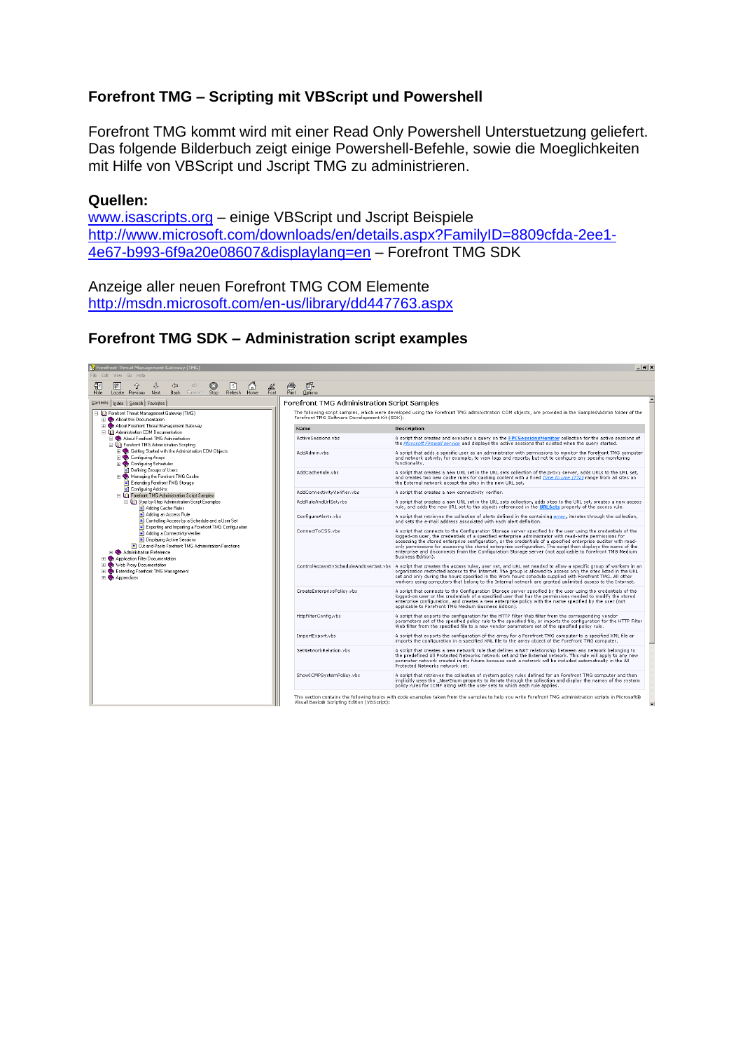# **Forefront TMG – Scripting mit VBScript und Powershell**

Forefront TMG kommt wird mit einer Read Only Powershell Unterstuetzung geliefert. Das folgende Bilderbuch zeigt einige Powershell-Befehle, sowie die Moeglichkeiten mit Hilfe von VBScript und Jscript TMG zu administrieren.

#### **Quellen:**

[www.isascripts.org](http://www.isascripts.org/) – einige VBScript und Jscript Beispiele [http://www.microsoft.com/downloads/en/details.aspx?FamilyID=8809cfda-2ee1-](http://www.microsoft.com/downloads/en/details.aspx?FamilyID=8809cfda-2ee1-4e67-b993-6f9a20e08607&displaylang=en) [4e67-b993-6f9a20e08607&displaylang=en](http://www.microsoft.com/downloads/en/details.aspx?FamilyID=8809cfda-2ee1-4e67-b993-6f9a20e08607&displaylang=en) – Forefront TMG SDK

Anzeige aller neuen Forefront TMG COM Elemente <http://msdn.microsoft.com/en-us/library/dd447763.aspx>

## **Forefront TMG SDK – Administration script examples**

| <b>53</b> ForeIront Threat Management Gateway (TMG)<br>- 이즈<br>File Edit View Go Help                                                                                                                                                                                                                                                                                                                                                                                                                                                                   |                                                                                                                                                                                                         |                                                                                                                                                                                                                                                                                                                                                                                                                                                                                                                                                                                              |  |  |
|---------------------------------------------------------------------------------------------------------------------------------------------------------------------------------------------------------------------------------------------------------------------------------------------------------------------------------------------------------------------------------------------------------------------------------------------------------------------------------------------------------------------------------------------------------|---------------------------------------------------------------------------------------------------------------------------------------------------------------------------------------------------------|----------------------------------------------------------------------------------------------------------------------------------------------------------------------------------------------------------------------------------------------------------------------------------------------------------------------------------------------------------------------------------------------------------------------------------------------------------------------------------------------------------------------------------------------------------------------------------------------|--|--|
| 图<br>⊕<br>O<br>ا≎ا<br>全<br>$\Leftrightarrow$<br>$\Rightarrow$<br>$\mathbb{A}^2$<br>Fork<br>6<br>Hide<br>Refresh<br>Locate Previous Next<br>Back<br>Forward<br>Stop<br>Home                                                                                                                                                                                                                                                                                                                                                                              | ê<br>厛<br>Print<br><b>Options</b>                                                                                                                                                                       |                                                                                                                                                                                                                                                                                                                                                                                                                                                                                                                                                                                              |  |  |
| Forefront TMG Administration Script Samples<br>Contents   Index   Search   Favorites                                                                                                                                                                                                                                                                                                                                                                                                                                                                    |                                                                                                                                                                                                         |                                                                                                                                                                                                                                                                                                                                                                                                                                                                                                                                                                                              |  |  |
| Fig. Forefront Threat Management Gateway (TMG)<br><b>El Co</b> About this Documentation                                                                                                                                                                                                                                                                                                                                                                                                                                                                 | The following script samples, which were developed using the Forefront TMG administration COM objects, are provided in the Samples\Admin folder of the<br>Forefront TMG Software Development Kit (SDK): |                                                                                                                                                                                                                                                                                                                                                                                                                                                                                                                                                                                              |  |  |
| About Forefront Threat Management Gateway<br>□ Q21 Administration COM Documentation                                                                                                                                                                                                                                                                                                                                                                                                                                                                     | <b>Name</b>                                                                                                                                                                                             | <b>Description</b>                                                                                                                                                                                                                                                                                                                                                                                                                                                                                                                                                                           |  |  |
| FI Co About Forefront TMG Administration<br>□ 00 Forefront TMG Administration Scripting<br>El Setting Started with the Administration COM Objects<br><b>El Configuring Arrays</b><br>El Configuring Schedules<br>Defining Groups of Users<br>Managing the Forefront TMG Cache<br>El Extending Forefront TMG Storage                                                                                                                                                                                                                                     | ActiveSessions.vbs                                                                                                                                                                                      | A script that creates and executes a query on the FPCSessionsMonitor collection for the active sessions of<br>the Microsoft Firewall service and displays the active sessions that existed when the query started.                                                                                                                                                                                                                                                                                                                                                                           |  |  |
|                                                                                                                                                                                                                                                                                                                                                                                                                                                                                                                                                         | AddAdmin.vbs                                                                                                                                                                                            | A script that adds a specific user as an administrator with permissions to monitor the Forefront TMG computer<br>and network activity, for example, to view logs and reports, but not to configure any specific monitoring<br>functionality.                                                                                                                                                                                                                                                                                                                                                 |  |  |
|                                                                                                                                                                                                                                                                                                                                                                                                                                                                                                                                                         | AddCacheRule.vbs                                                                                                                                                                                        | A script that creates a new URL set in the URL sets collection of the proxy server, adds URLs to the URL set,<br>and creates two new cache rules for caching content with a fixed Time to Live (TTL) range from all sites on<br>the External network except the sites in the new URL set.                                                                                                                                                                                                                                                                                                    |  |  |
| Configuring Add-ins<br><b>El LDI</b> Forefront TMG Administration Script Samples                                                                                                                                                                                                                                                                                                                                                                                                                                                                        | AddConnectivityVerifier.vbs                                                                                                                                                                             | A script that creates a new connectivity verifier.                                                                                                                                                                                                                                                                                                                                                                                                                                                                                                                                           |  |  |
| <b>El Un</b> Step-by-Step Administration Script Examples<br>Adding Cache Rules<br>Adding an Access Rule<br>Controlling Access by a Schedule and a User Set<br>Exporting and Importing a Forefront TMG Configuration<br>Adding a Connectivity Verifier<br>Displaying Active Sessions<br><b>ET</b> Cut-and-Paste Forefront TMG Administration Functions<br><b>FI</b> Co Administration Reference<br><b>El St.</b> Application Filter Documentation<br>FI Web Proxy Documentation<br><b>H</b> Stending Forefront TMG Management<br>$\mathbb{R}$ Appendices | AddRuleAndUrlSet.vbs                                                                                                                                                                                    | A script that creates a new URL set in the URL sets collection, adds sites to the URL set, creates a new access<br>rule, and adds the new URL set to the objects referenced in the URLSets property of the access rule.                                                                                                                                                                                                                                                                                                                                                                      |  |  |
|                                                                                                                                                                                                                                                                                                                                                                                                                                                                                                                                                         | ConfigureAlerts.vbs                                                                                                                                                                                     | A script that retrieves the collection of alerts defined in the containing array, iterates through the collection,<br>and sets the e-mail address associated with each alert definition.                                                                                                                                                                                                                                                                                                                                                                                                     |  |  |
|                                                                                                                                                                                                                                                                                                                                                                                                                                                                                                                                                         | ConnectToCSS.vbs                                                                                                                                                                                        | A script that connects to the Configuration Storage server specified by the user using the credentials of the<br>logged-on user, the credentials of a specified enterprise administrator with read-write permissions for<br>accessing the stored enterprise configuration, or the credentials of a specified enterprise auditor with read-<br>only permissions for accessing the stored enterprise configuration. The script then displays the name of the<br>enterprise and disconnects from the Configuration Storage server (not applicable to Forefront TMG Medium<br>Business Edition). |  |  |
|                                                                                                                                                                                                                                                                                                                                                                                                                                                                                                                                                         |                                                                                                                                                                                                         | ControlAccessByScheduleAndUserSet.vbs A script that creates the access rules, user set, and URL set needed to allow a specific group of workers in an<br>organization restricted access to the Internet. The group is allowed to access only the sites listed in the URL<br>set and only during the hours specified in the Work hours schedule supplied with Forefront TMG. All other<br>workers using computers that belong to the Internal network are granted unlimited access to the Internet.                                                                                           |  |  |
|                                                                                                                                                                                                                                                                                                                                                                                                                                                                                                                                                         | CreateEnterprisePolicy.vbs                                                                                                                                                                              | A script that connects to the Configuration Storage server specified by the user using the credentials of the<br>logged-on user or the credentials of a specified user that has the permissions needed to modify the stored<br>enterprise configuration, and creates a new enterprise policy with the name specified by the user (not<br>applicable to Forefront TMG Medium Business Edition).                                                                                                                                                                                               |  |  |
|                                                                                                                                                                                                                                                                                                                                                                                                                                                                                                                                                         | HttpFilterConfig.vbs                                                                                                                                                                                    | A script that exports the configuration for the HTTP Filter Web filter from the corresponding vendor<br>parameters set of the specified policy rule to the specified file, or imports the configuration for the HTTP Filter<br>Web filter from the specified file to a new vendor parameters set of the specified policy rule.                                                                                                                                                                                                                                                               |  |  |
|                                                                                                                                                                                                                                                                                                                                                                                                                                                                                                                                                         | ImportExport.vbs                                                                                                                                                                                        | A script that exports the configuration of the array for a Forefront TMG computer to a specified XML file or<br>imports the configuration in a specified XML file to the array object of the Forefront TMG computer.                                                                                                                                                                                                                                                                                                                                                                         |  |  |
|                                                                                                                                                                                                                                                                                                                                                                                                                                                                                                                                                         | SetNetworkRelation.vbs                                                                                                                                                                                  | A script that creates a new network rule that defines a NAT relationship between any network belonging to<br>the predefined All Protected Networks network set and the External network. This rule will apply to any new<br>perimeter network created in the future because such a network will be included automatically in the All<br>Protected Networks network set.                                                                                                                                                                                                                      |  |  |
|                                                                                                                                                                                                                                                                                                                                                                                                                                                                                                                                                         | ShowICMPSystemPolicy.vbs                                                                                                                                                                                | A script that retrieves the collection of system policy rules defined for an Forefront TMG computer and then<br>implicitly uses the _NewEnum property to iterate through the collection and display the names of the system<br>policy rules for ICMP along with the user sets to which each rule applies.                                                                                                                                                                                                                                                                                    |  |  |
|                                                                                                                                                                                                                                                                                                                                                                                                                                                                                                                                                         | Visual Basic® Scripting Edition (VBScript):                                                                                                                                                             | This section contains the following topics with code examples taken from the samples to help you write Forefront TMG administration scripts in Microsoft®<br>$\blacktriangledown$                                                                                                                                                                                                                                                                                                                                                                                                            |  |  |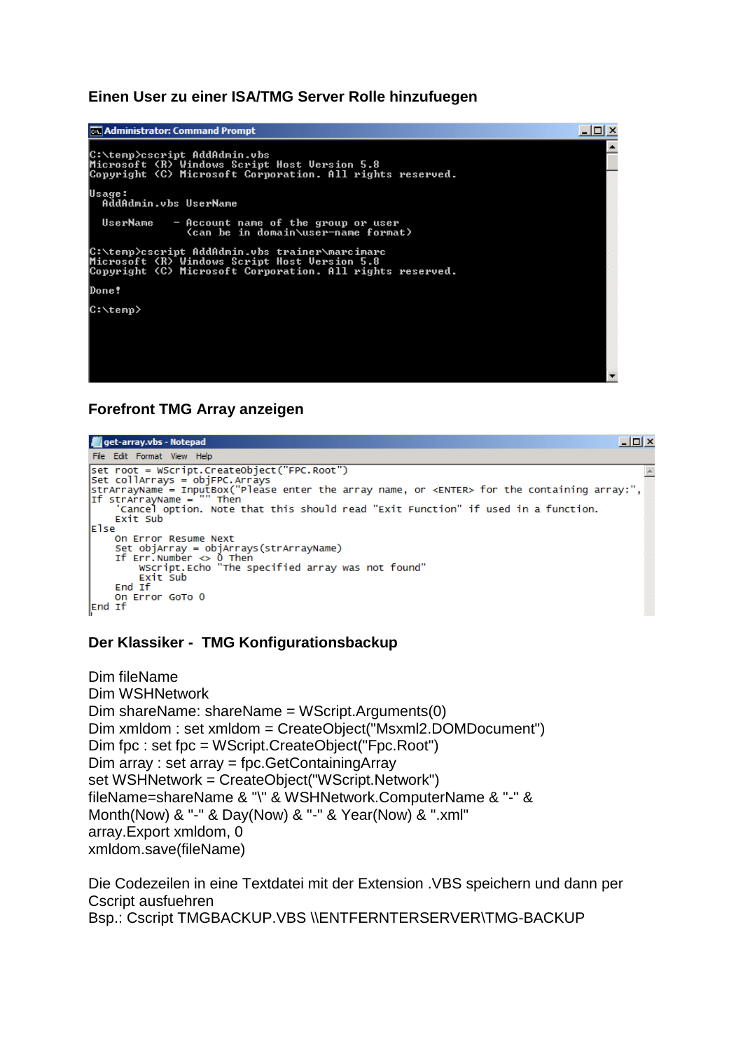#### **Einen User zu einer ISA/TMG Server Rolle hinzufuegen**



## **Forefront TMG Array anzeigen**



#### **Der Klassiker - TMG Konfigurationsbackup**

Dim fileName Dim WSHNetwork Dim shareName: shareName = WScript.Arguments(0) Dim xmldom : set xmldom = CreateObject("Msxml2.DOMDocument") Dim fpc : set fpc = WScript.CreateObject("Fpc.Root") Dim array : set array = fpc.GetContainingArray set WSHNetwork = CreateObject("WScript.Network") fileName=shareName & "\" & WSHNetwork.ComputerName & "-" & Month(Now) & "-" & Day(Now) & "-" & Year(Now) & ".xml" array.Export xmldom, 0 xmldom.save(fileName)

Die Codezeilen in eine Textdatei mit der Extension .VBS speichern und dann per Cscript ausfuehren Bsp.: Cscript TMGBACKUP.VBS \\ENTFERNTERSERVER\TMG-BACKUP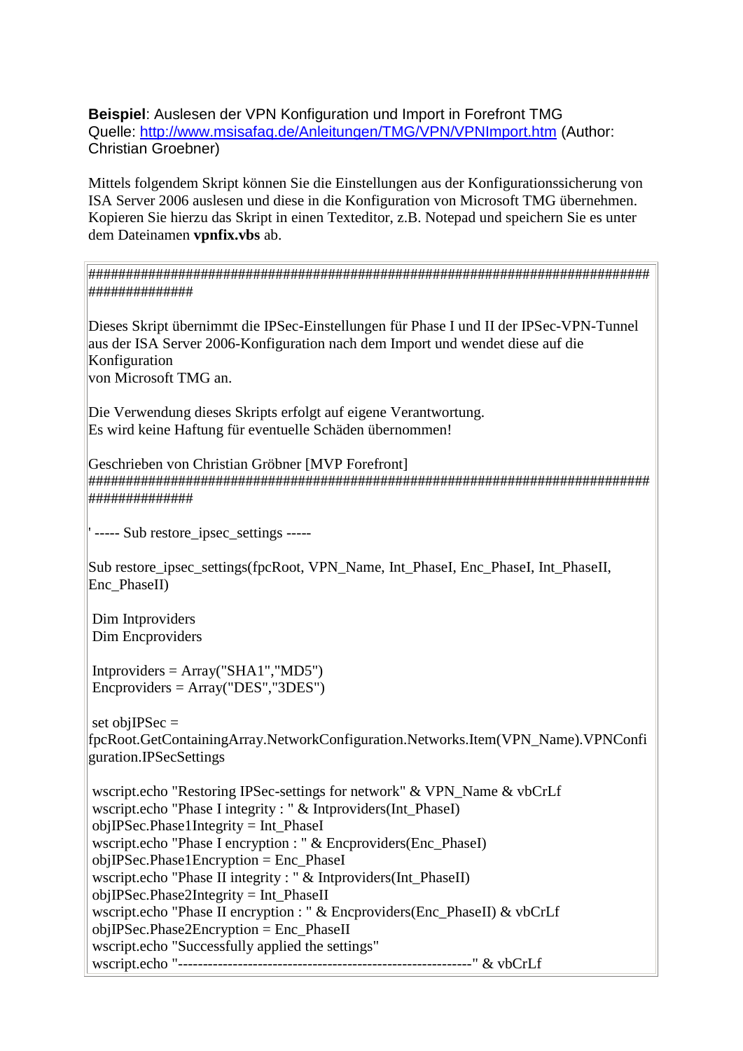**Beispiel**: Auslesen der VPN Konfiguration und Import in Forefront TMG Quelle:<http://www.msisafaq.de/Anleitungen/TMG/VPN/VPNImport.htm> (Author: Christian Groebner)

Mittels folgendem Skript können Sie die Einstellungen aus der Konfigurationssicherung von ISA Server 2006 auslesen und diese in die Konfiguration von Microsoft TMG übernehmen. Kopieren Sie hierzu das Skript in einen Texteditor, z.B. Notepad und speichern Sie es unter dem Dateinamen **vpnfix.vbs** ab.

########################################################################### ##############

Dieses Skript übernimmt die IPSec-Einstellungen für Phase I und II der IPSec-VPN-Tunnel aus der ISA Server 2006-Konfiguration nach dem Import und wendet diese auf die Konfiguration von Microsoft TMG an.

Die Verwendung dieses Skripts erfolgt auf eigene Verantwortung. Es wird keine Haftung für eventuelle Schäden übernommen!

Geschrieben von Christian Gröbner [MVP Forefront] ########################################################################### ##############

' ----- Sub restore\_ipsec\_settings -----

Sub restore ipsec\_settings(fpcRoot, VPN\_Name, Int\_PhaseI, Enc\_PhaseI, Int\_PhaseII, Enc\_PhaseII)

Dim Intproviders Dim Encproviders

 $Intprovides = Array("SHA1", "MD5")$ Encproviders = Array("DES","3DES")

set obj $IPSec =$ fpcRoot.GetContainingArray.NetworkConfiguration.Networks.Item(VPN\_Name).VPNConfi guration.IPSecSettings

wscript.echo "Restoring IPSec-settings for network" & VPN\_Name & vbCrLf wscript.echo "Phase I integrity : " & Intproviders(Int\_PhaseI) objIPSec.Phase1Integrity = Int\_PhaseI wscript.echo "Phase I encryption : " & Encproviders(Enc\_PhaseI) objIPSec.Phase1Encryption = Enc\_PhaseI wscript.echo "Phase II integrity : " & Intproviders(Int\_PhaseII)  $objIPSec.Phase2Integrity = Int PhaseII$ wscript.echo "Phase II encryption : " & Encproviders(Enc\_PhaseII) & vbCrLf objIPSec.Phase2Encryption = Enc\_PhaseII wscript.echo "Successfully applied the settings" wscript.echo "-----------------------------------------------------------" & vbCrLf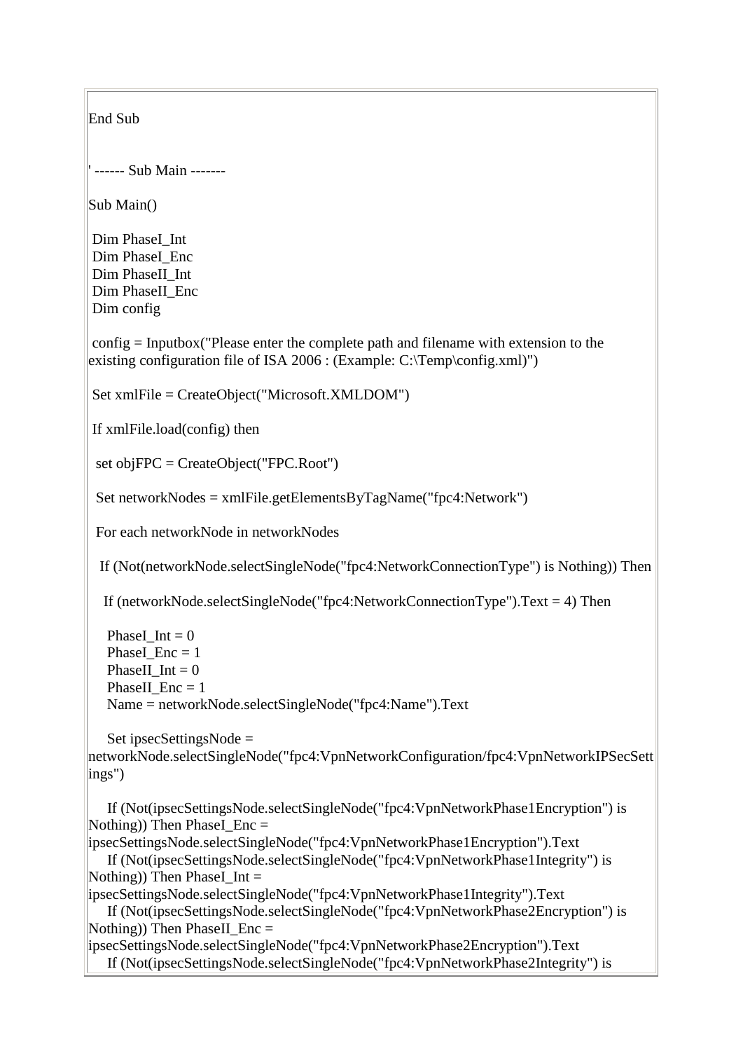End Sub ' ------ Sub Main ------- Sub Main() Dim PhaseI Int Dim PhaseI\_Enc Dim PhaseII\_Int Dim PhaseII\_Enc Dim config config = Inputbox("Please enter the complete path and filename with extension to the existing configuration file of ISA 2006 : (Example: C:\Temp\config.xml)") Set xmlFile = CreateObject("Microsoft.XMLDOM") If xmlFile.load(config) then set objFPC = CreateObject("FPC.Root") Set networkNodes = xmlFile.getElementsByTagName("fpc4:Network") For each networkNode in networkNodes If (Not(networkNode.selectSingleNode("fpc4:NetworkConnectionType") is Nothing)) Then If (networkNode.selectSingleNode("fpc4:NetworkConnectionType").Text = 4) Then PhaseI Int  $= 0$ PhaseI  $Enc = 1$ PhaseII  $Int = 0$ PhaseII  $Enc = 1$ Name = networkNode.selectSingleNode("fpc4:Name").Text Set ipsecSettingsNode = networkNode.selectSingleNode("fpc4:VpnNetworkConfiguration/fpc4:VpnNetworkIPSecSett ings") If (Not(ipsecSettingsNode.selectSingleNode("fpc4:VpnNetworkPhase1Encryption") is Nothing)) Then PhaseI\_Enc  $=$ ipsecSettingsNode.selectSingleNode("fpc4:VpnNetworkPhase1Encryption").Text If (Not(ipsecSettingsNode.selectSingleNode("fpc4:VpnNetworkPhase1Integrity") is Nothing)) Then PhaseI Int  $=$ ipsecSettingsNode.selectSingleNode("fpc4:VpnNetworkPhase1Integrity").Text If (Not(ipsecSettingsNode.selectSingleNode("fpc4:VpnNetworkPhase2Encryption") is Nothing)) Then PhaseII  $Enc =$ ipsecSettingsNode.selectSingleNode("fpc4:VpnNetworkPhase2Encryption").Text If (Not(ipsecSettingsNode.selectSingleNode("fpc4:VpnNetworkPhase2Integrity") is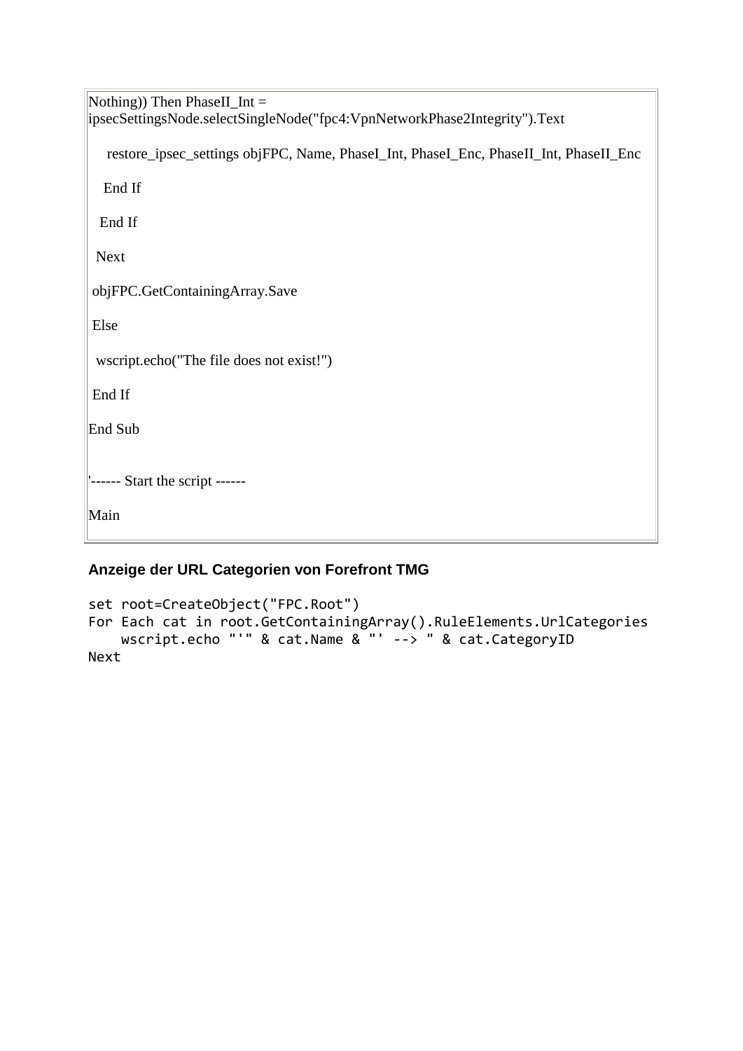| Nothing)) Then PhaseII_Int =                                                          |  |  |  |
|---------------------------------------------------------------------------------------|--|--|--|
| ipsecSettingsNode.selectSingleNode("fpc4:VpnNetworkPhase2Integrity").Text             |  |  |  |
| restore_ipsec_settings objFPC, Name, PhaseI_Int, PhaseI_Enc, PhaseII_Int, PhaseII_Enc |  |  |  |
| End If                                                                                |  |  |  |
| End If                                                                                |  |  |  |
| <b>Next</b>                                                                           |  |  |  |
| objFPC.GetContainingArray.Save                                                        |  |  |  |
| Else                                                                                  |  |  |  |
| wscript.echo("The file does not exist!")                                              |  |  |  |
| End If                                                                                |  |  |  |
| End Sub                                                                               |  |  |  |
| "------ Start the script ------                                                       |  |  |  |
| Main                                                                                  |  |  |  |
|                                                                                       |  |  |  |

# **Anzeige der URL Categorien von Forefront TMG**

```
set root=CreateObject("FPC.Root")
For Each cat in root.GetContainingArray().RuleElements.UrlCategories
    wscript.echo "'" & cat.Name & "' --> " & cat.CategoryID
Next
```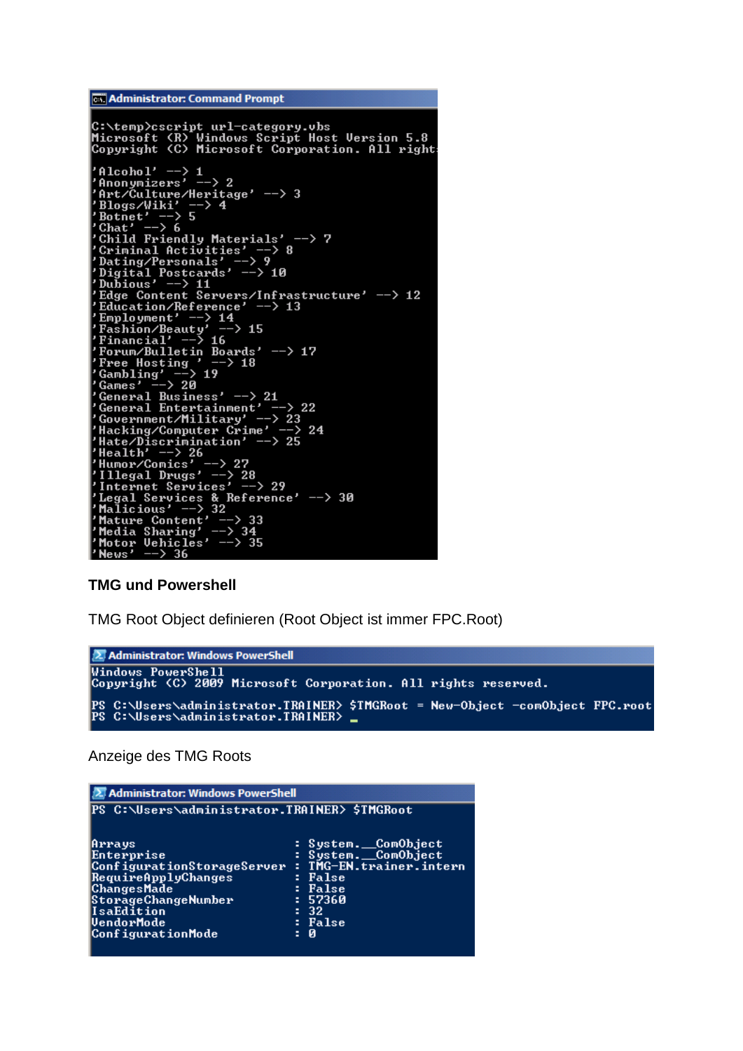```
Cox Administrator: Command Prompt
C:\temp>cscript url-category.vbs<br>Microsoft (R) Windows Script Host Version 5.8<br>Copyright (C) Microsoft Corporation. All right
 Alcohol' \longrightarrow 1<br>
'Anonymizers' \longrightarrow 2<br>
'Art/Culture/Heritage' \longrightarrow 3<br>
'Blogs/Wiki' \longrightarrow 4<br>
'Botnet' \longrightarrow 5<br>
'Chat' \longrightarrow 5<br>
'Chat' \longrightarrow 6<br>
'Child Friendly Materials' \longrightarrow<br>
'Criminal Activities' \longrightarrow 8<br>
'Dating/Personals' \rightarrow 7
'Dating/Personals' ---><br>
'Digital Postcards' ---> 10<br>
'Dubious' ---> 11<br>
'Edge Content Servers/Infrastructure' ---> 12<br>
'Edge Content Servers/Infrastructure' ---> 12<br>
'Employment' ---> 14<br>
'Employment' ---> 14<br>
'Fashion/B
  'Malicious' --> 32<br>'Mature Content' --> 33<br>'Media Sharing' --> 34<br>'Motor Vehicles' --> 35<br>'News' --> 36
```
#### **TMG und Powershell**

TMG Root Object definieren (Root Object ist immer FPC.Root)



Anzeige des TMG Roots

| <b>2 Administrator: Windows PowerShell</b>                                                                                                                           |                                                                                                                                      |  |  |
|----------------------------------------------------------------------------------------------------------------------------------------------------------------------|--------------------------------------------------------------------------------------------------------------------------------------|--|--|
| PS C:\Users\administrator.TRAINER> \$TMGRoot                                                                                                                         |                                                                                                                                      |  |  |
| Arrays<br>Enterprise<br> ConfigurationStorageServer<br>RequireApplyChanges<br> ChangesMade <br> StorageChangeNumber<br>IsaEdition<br>VendorMode<br>ConfigurationMode | : System.__ComObject<br>: System. ComObject<br>: TMG-EN.trainer.intern<br>: False<br>: False<br>: 57360<br>-32<br>÷.<br>: False<br>Й |  |  |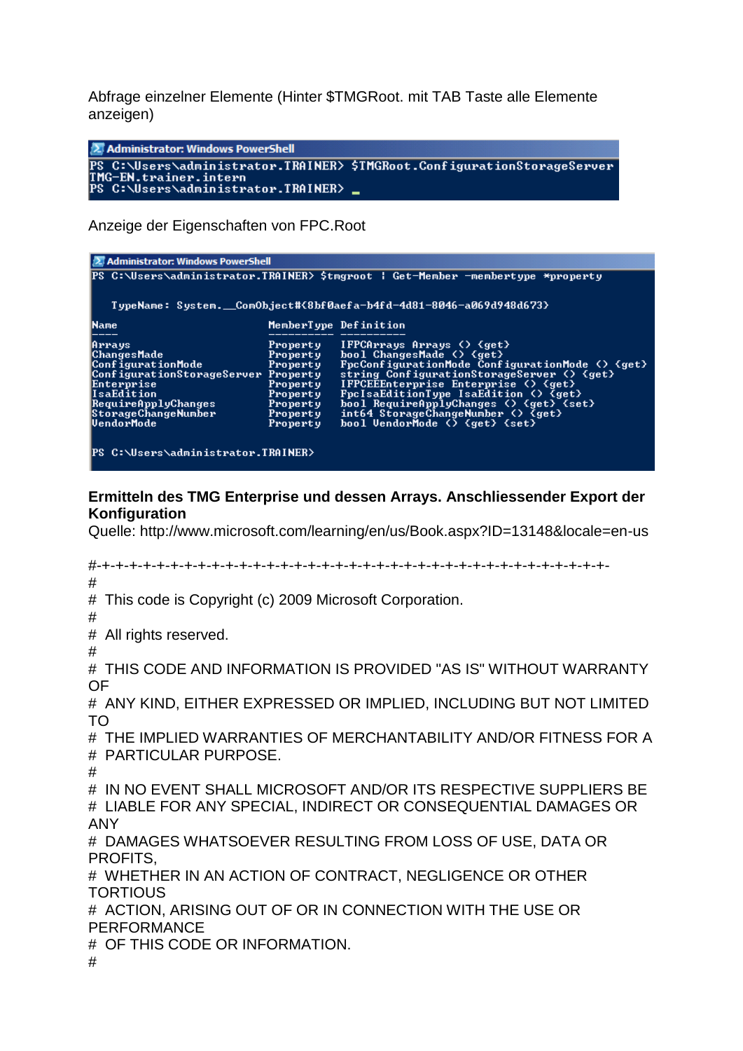Abfrage einzelner Elemente (Hinter \$TMGRoot. mit TAB Taste alle Elemente anzeigen)

2 Administrator: Windows PowerShell 

Anzeige der Eigenschaften von FPC.Root

| <b>Z</b> Administrator: Windows PowerShell<br> PS C:∖Users∖administrator.TRAINER> \$tmgroot ¦ Get-Member -membertype *property                                                 |                                                                                              |                                                                                                                                                                                                                                                                                                                                                                                                                                                |  |  |
|--------------------------------------------------------------------------------------------------------------------------------------------------------------------------------|----------------------------------------------------------------------------------------------|------------------------------------------------------------------------------------------------------------------------------------------------------------------------------------------------------------------------------------------------------------------------------------------------------------------------------------------------------------------------------------------------------------------------------------------------|--|--|
| TypeName: System. ComObject#{8bf0aefa-b4fd-4d81-8046-a069d948d673}                                                                                                             |                                                                                              |                                                                                                                                                                                                                                                                                                                                                                                                                                                |  |  |
| Name                                                                                                                                                                           |                                                                                              | MemberType Definition                                                                                                                                                                                                                                                                                                                                                                                                                          |  |  |
| Arrays<br> ChangesMade<br>ConfigurationMode<br>ConfigurationStorageServer Property<br>Enterprise<br>IsaEdition<br> RequireApplyChanges <br> StorageChangeNumber<br>lVendorMode | Property<br>Property<br>Property<br>Property<br>Property<br>Property<br>Property<br>Property | IFPCArrays Arrays $()$ $\{get\}$<br>bool ChangesMade () {get}<br>FpcConfigurationMode ConfigurationMode $\langle \rangle$ $\langle$ get $\rangle$<br>string ConfigurationStorageServer () {get}<br>IFPCEEEnterprise Enterprise () {get}<br>FpcIsaEditionType IsaEdition $\langle \rangle$ $\langle$ get $\rangle$<br>$bool$ RequireApplyChanges () $\{get\}$ $\{set\}$<br>int64 StorageChangeNumber () {get}<br>bool VendorMode () {get} {set} |  |  |
| IPS C:\Users\administrator.TRAINER>                                                                                                                                            |                                                                                              |                                                                                                                                                                                                                                                                                                                                                                                                                                                |  |  |

# **Ermitteln des TMG Enterprise und dessen Arrays. Anschliessender Export der Konfiguration**

Quelle: http://www.microsoft.com/learning/en/us/Book.aspx?ID=13148&locale=en-us

#-+-+-+-+-+-+-+-+-+-+-+-+-+-+-+-+-+-+-+-+-+-+-+-+-+-+-+-+-+-+-+-+-+-+-+-+-+- # # This code is Copyright (c) 2009 Microsoft Corporation. # # All rights reserved. # # THIS CODE AND INFORMATION IS PROVIDED "AS IS" WITHOUT WARRANTY OF # ANY KIND, EITHER EXPRESSED OR IMPLIED, INCLUDING BUT NOT LIMITED TO # THE IMPLIED WARRANTIES OF MERCHANTABILITY AND/OR FITNESS FOR A # PARTICULAR PURPOSE. # # IN NO EVENT SHALL MICROSOFT AND/OR ITS RESPECTIVE SUPPLIERS BE # LIABLE FOR ANY SPECIAL, INDIRECT OR CONSEQUENTIAL DAMAGES OR ANY # DAMAGES WHATSOEVER RESULTING FROM LOSS OF USE, DATA OR PROFITS, # WHETHER IN AN ACTION OF CONTRACT, NEGLIGENCE OR OTHER **TORTIOUS** # ACTION, ARISING OUT OF OR IN CONNECTION WITH THE USE OR PERFORMANCE # OF THIS CODE OR INFORMATION. #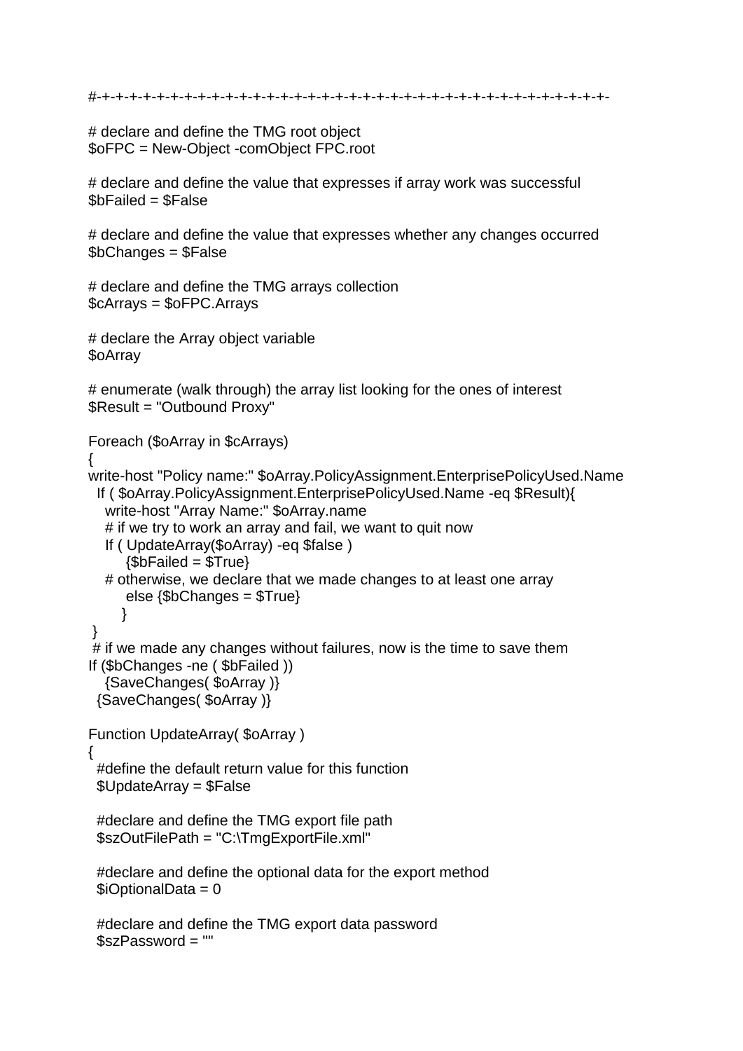```
#-+-+-+-+-+-+-+-+-+-+-+-+-+-+-+-+-+-+-+-+-+-+-+-+-+-+-+-+-+-+-+-+-+-+-+-+-+-
```
# declare and define the TMG root object \$oFPC = New-Object -comObject FPC.root

# declare and define the value that expresses if array work was successful \$bFailed = \$False

# declare and define the value that expresses whether any changes occurred \$bChanges = \$False

# declare and define the TMG arrays collection \$cArrays = \$oFPC.Arrays

# declare the Array object variable \$oArray

```
# enumerate (walk through) the array list looking for the ones of interest
$Result = "Outbound Proxy"
```
Foreach (\$oArray in \$cArrays)

```
{
```

```
write-host "Policy name:" $oArray.PolicyAssignment.EnterprisePolicyUsed.Name
  If ( $oArray.PolicyAssignment.EnterprisePolicyUsed.Name -eq $Result){
   write-host "Array Name:" $oArray.name
  # if we try to work an array and fail, we want to quit now
   If ( UpdateArray($oArray) -eq $false ) 
     {$bFailed = $True} # otherwise, we declare that we made changes to at least one array
      else {$bChanges = $True}
      }
}
# if we made any changes without failures, now is the time to save them
If ($bChanges -ne ( $bFailed )) 
   {SaveChanges( $oArray )}
  {SaveChanges( $oArray )}
Function UpdateArray( $oArray )
{
  #define the default return value for this function
  $UpdateArray = $False
  #declare and define the TMG export file path
  $szOutFilePath = "C:\TmgExportFile.xml"
  #declare and define the optional data for the export method
 $iOptionalData = 0 #declare and define the TMG export data password
 $szPassword = ""
```